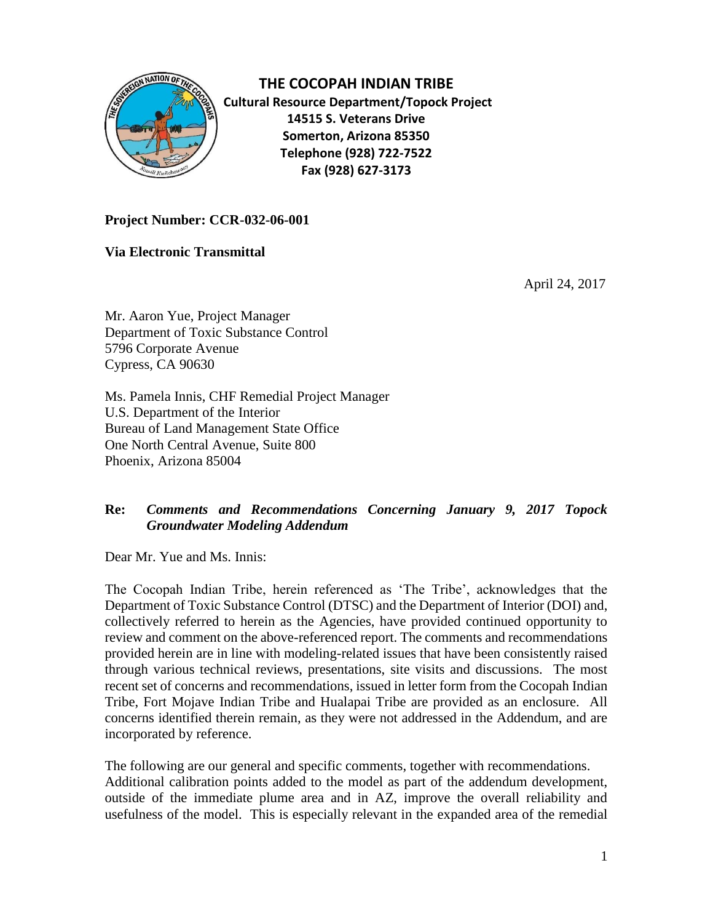

**THE COCOPAH INDIAN TRIBE Cultural Resource Department/Topock Project 14515 S. Veterans Drive Somerton, Arizona 85350 Telephone (928) 722-7522 Fax (928) 627-3173**

## **Project Number: CCR-032-06-001**

**Via Electronic Transmittal**

April 24, 2017

Mr. Aaron Yue, Project Manager Department of Toxic Substance Control 5796 Corporate Avenue Cypress, CA 90630

Ms. Pamela Innis, CHF Remedial Project Manager U.S. Department of the Interior Bureau of Land Management State Office One North Central Avenue, Suite 800 Phoenix, Arizona 85004

## **Re:** *Comments and Recommendations Concerning January 9, 2017 Topock Groundwater Modeling Addendum*

Dear Mr. Yue and Ms. Innis:

The Cocopah Indian Tribe, herein referenced as 'The Tribe', acknowledges that the Department of Toxic Substance Control (DTSC) and the Department of Interior (DOI) and, collectively referred to herein as the Agencies, have provided continued opportunity to review and comment on the above-referenced report. The comments and recommendations provided herein are in line with modeling-related issues that have been consistently raised through various technical reviews, presentations, site visits and discussions. The most recent set of concerns and recommendations, issued in letter form from the Cocopah Indian Tribe, Fort Mojave Indian Tribe and Hualapai Tribe are provided as an enclosure. All concerns identified therein remain, as they were not addressed in the Addendum, and are incorporated by reference.

The following are our general and specific comments, together with recommendations. Additional calibration points added to the model as part of the addendum development, outside of the immediate plume area and in AZ, improve the overall reliability and usefulness of the model. This is especially relevant in the expanded area of the remedial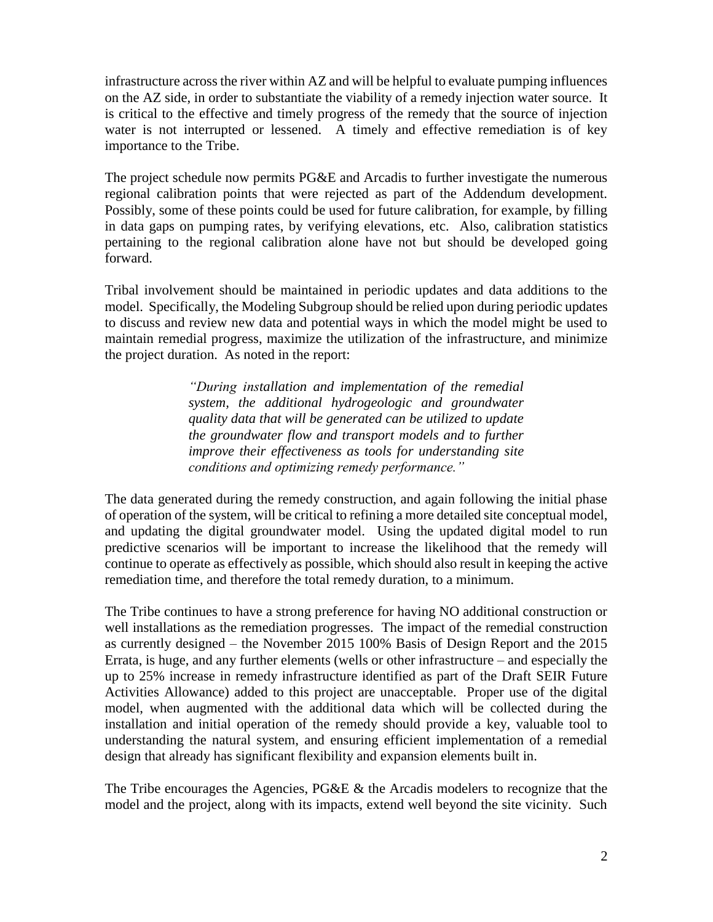infrastructure across the river within AZ and will be helpful to evaluate pumping influences on the AZ side, in order to substantiate the viability of a remedy injection water source. It is critical to the effective and timely progress of the remedy that the source of injection water is not interrupted or lessened. A timely and effective remediation is of key importance to the Tribe.

The project schedule now permits PG&E and Arcadis to further investigate the numerous regional calibration points that were rejected as part of the Addendum development. Possibly, some of these points could be used for future calibration, for example, by filling in data gaps on pumping rates, by verifying elevations, etc. Also, calibration statistics pertaining to the regional calibration alone have not but should be developed going forward.

Tribal involvement should be maintained in periodic updates and data additions to the model. Specifically, the Modeling Subgroup should be relied upon during periodic updates to discuss and review new data and potential ways in which the model might be used to maintain remedial progress, maximize the utilization of the infrastructure, and minimize the project duration. As noted in the report:

> *"During installation and implementation of the remedial system, the additional hydrogeologic and groundwater quality data that will be generated can be utilized to update the groundwater flow and transport models and to further improve their effectiveness as tools for understanding site conditions and optimizing remedy performance."*

The data generated during the remedy construction, and again following the initial phase of operation of the system, will be critical to refining a more detailed site conceptual model, and updating the digital groundwater model. Using the updated digital model to run predictive scenarios will be important to increase the likelihood that the remedy will continue to operate as effectively as possible, which should also result in keeping the active remediation time, and therefore the total remedy duration, to a minimum.

The Tribe continues to have a strong preference for having NO additional construction or well installations as the remediation progresses. The impact of the remedial construction as currently designed – the November 2015 100% Basis of Design Report and the 2015 Errata, is huge, and any further elements (wells or other infrastructure – and especially the up to 25% increase in remedy infrastructure identified as part of the Draft SEIR Future Activities Allowance) added to this project are unacceptable. Proper use of the digital model, when augmented with the additional data which will be collected during the installation and initial operation of the remedy should provide a key, valuable tool to understanding the natural system, and ensuring efficient implementation of a remedial design that already has significant flexibility and expansion elements built in.

The Tribe encourages the Agencies, PG&E & the Arcadis modelers to recognize that the model and the project, along with its impacts, extend well beyond the site vicinity. Such